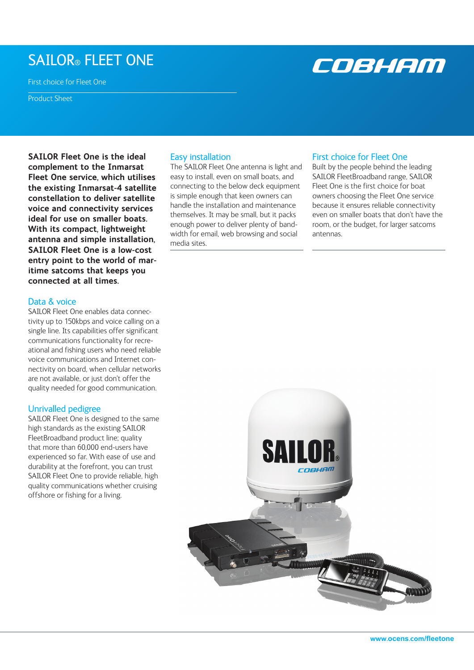# SAILOR® FLEET ONE

First choice for Fleet One

Product Sheet

**SAILOR Fleet One is the ideal complement to the Inmarsat Fleet One service, which utilises the existing Inmarsat-4 satellite constellation to deliver satellite voice and connectivity services ideal for use on smaller boats. With its compact, lightweight antenna and simple installation, SAILOR Fleet One is a low-cost entry point to the world of maritime satcoms that keeps you connected at all times.** 

# Data & voice

SAILOR Fleet One enables data connectivity up to 150kbps and voice calling on a single line. Its capabilities offer significant communications functionality for recreational and fishing users who need reliable voice communications and Internet connectivity on board, when cellular networks are not available, or just don't offer the quality needed for good communication.

# Unrivalled pedigree

SAILOR Fleet One is designed to the same high standards as the existing SAILOR FleetBroadband product line; quality that more than 60,000 end-users have experienced so far. With ease of use and durability at the forefront, you can trust SAILOR Fleet One to provide reliable, high quality communications whether cruising offshore or fishing for a living.

# Easy installation

The SAILOR Fleet One antenna is light and easy to install, even on small boats, and connecting to the below deck equipment is simple enough that keen owners can handle the installation and maintenance themselves. It may be small, but it packs enough power to deliver plenty of bandwidth for email, web browsing and social media sites.

**SAI** 

## First choice for Fleet One

Built by the people behind the leading SAILOR FleetBroadband range, SAILOR Fleet One is the first choice for boat owners choosing the Fleet One service because it ensures reliable connectivity even on smaller boats that don't have the room, or the budget, for larger satcoms antennas.

COBHAM